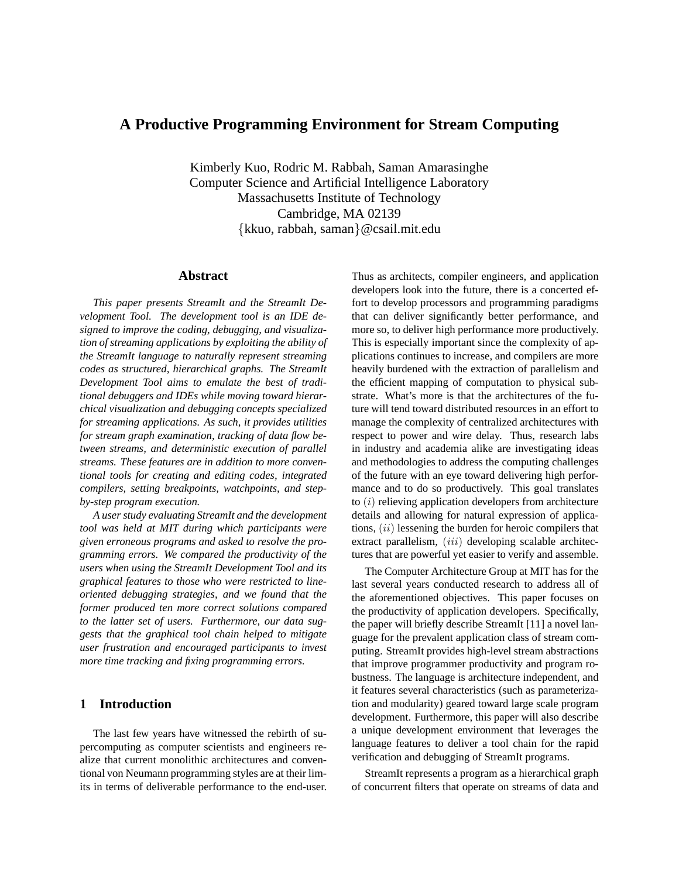# **A Productive Programming Environment for Stream Computing**

Kimberly Kuo, Rodric M. Rabbah, Saman Amarasinghe Computer Science and Artificial Intelligence Laboratory Massachusetts Institute of Technology Cambridge, MA 02139 {kkuo, rabbah, saman}@csail.mit.edu

### **Abstract**

*This paper presents StreamIt and the StreamIt Development Tool. The development tool is an IDE designed to improve the coding, debugging, and visualization of streaming applications by exploiting the ability of the StreamIt language to naturally represent streaming codes as structured, hierarchical graphs. The StreamIt Development Tool aims to emulate the best of traditional debuggers and IDEs while moving toward hierarchical visualization and debugging concepts specialized for streaming applications. As such, it provides utilities for stream graph examination, tracking of data flow between streams, and deterministic execution of parallel streams. These features are in addition to more conventional tools for creating and editing codes, integrated compilers, setting breakpoints, watchpoints, and stepby-step program execution.*

*A user study evaluating StreamIt and the development tool was held at MIT during which participants were given erroneous programs and asked to resolve the programming errors. We compared the productivity of the users when using the StreamIt Development Tool and its graphical features to those who were restricted to lineoriented debugging strategies, and we found that the former produced ten more correct solutions compared to the latter set of users. Furthermore, our data suggests that the graphical tool chain helped to mitigate user frustration and encouraged participants to invest more time tracking and fixing programming errors.*

# **1 Introduction**

The last few years have witnessed the rebirth of supercomputing as computer scientists and engineers realize that current monolithic architectures and conventional von Neumann programming styles are at their limits in terms of deliverable performance to the end-user.

Thus as architects, compiler engineers, and application developers look into the future, there is a concerted effort to develop processors and programming paradigms that can deliver significantly better performance, and more so, to deliver high performance more productively. This is especially important since the complexity of applications continues to increase, and compilers are more heavily burdened with the extraction of parallelism and the efficient mapping of computation to physical substrate. What's more is that the architectures of the future will tend toward distributed resources in an effort to manage the complexity of centralized architectures with respect to power and wire delay. Thus, research labs in industry and academia alike are investigating ideas and methodologies to address the computing challenges of the future with an eye toward delivering high performance and to do so productively. This goal translates to  $(i)$  relieving application developers from architecture details and allowing for natural expression of applications,  $(ii)$  lessening the burden for heroic compilers that extract parallelism, (iii) developing scalable architectures that are powerful yet easier to verify and assemble.

The Computer Architecture Group at MIT has for the last several years conducted research to address all of the aforementioned objectives. This paper focuses on the productivity of application developers. Specifically, the paper will briefly describe StreamIt [11] a novel language for the prevalent application class of stream computing. StreamIt provides high-level stream abstractions that improve programmer productivity and program robustness. The language is architecture independent, and it features several characteristics (such as parameterization and modularity) geared toward large scale program development. Furthermore, this paper will also describe a unique development environment that leverages the language features to deliver a tool chain for the rapid verification and debugging of StreamIt programs.

StreamIt represents a program as a hierarchical graph of concurrent filters that operate on streams of data and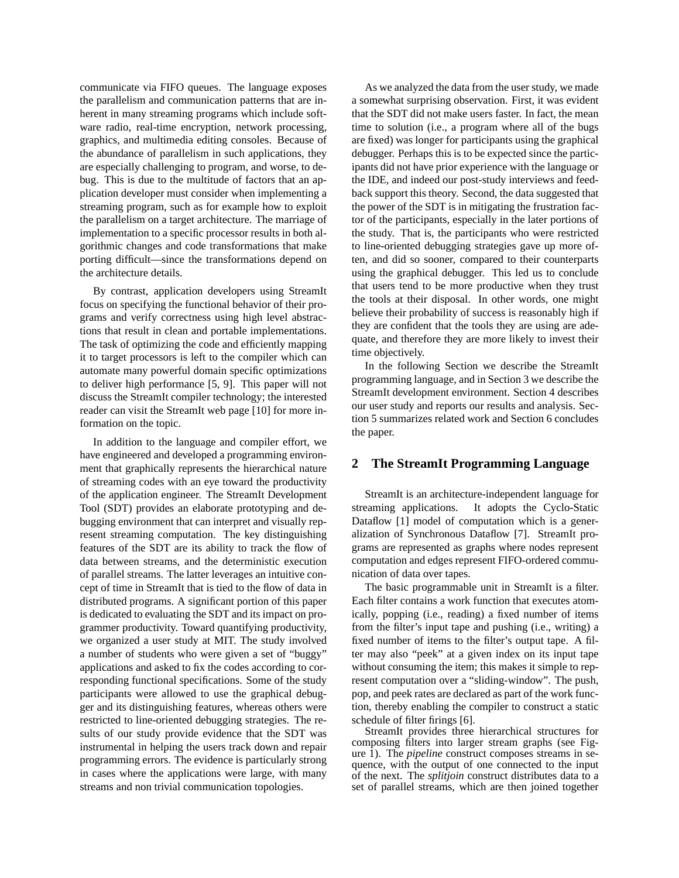communicate via FIFO queues. The language exposes the parallelism and communication patterns that are inherent in many streaming programs which include software radio, real-time encryption, network processing, graphics, and multimedia editing consoles. Because of the abundance of parallelism in such applications, they are especially challenging to program, and worse, to debug. This is due to the multitude of factors that an application developer must consider when implementing a streaming program, such as for example how to exploit the parallelism on a target architecture. The marriage of implementation to a specific processor results in both algorithmic changes and code transformations that make porting difficult—since the transformations depend on the architecture details.

By contrast, application developers using StreamIt focus on specifying the functional behavior of their programs and verify correctness using high level abstractions that result in clean and portable implementations. The task of optimizing the code and efficiently mapping it to target processors is left to the compiler which can automate many powerful domain specific optimizations to deliver high performance [5, 9]. This paper will not discuss the StreamIt compiler technology; the interested reader can visit the StreamIt web page [10] for more information on the topic.

In addition to the language and compiler effort, we have engineered and developed a programming environment that graphically represents the hierarchical nature of streaming codes with an eye toward the productivity of the application engineer. The StreamIt Development Tool (SDT) provides an elaborate prototyping and debugging environment that can interpret and visually represent streaming computation. The key distinguishing features of the SDT are its ability to track the flow of data between streams, and the deterministic execution of parallel streams. The latter leverages an intuitive concept of time in StreamIt that is tied to the flow of data in distributed programs. A significant portion of this paper is dedicated to evaluating the SDT and its impact on programmer productivity. Toward quantifying productivity, we organized a user study at MIT. The study involved a number of students who were given a set of "buggy" applications and asked to fix the codes according to corresponding functional specifications. Some of the study participants were allowed to use the graphical debugger and its distinguishing features, whereas others were restricted to line-oriented debugging strategies. The results of our study provide evidence that the SDT was instrumental in helping the users track down and repair programming errors. The evidence is particularly strong in cases where the applications were large, with many streams and non trivial communication topologies.

As we analyzed the data from the user study, we made a somewhat surprising observation. First, it was evident that the SDT did not make users faster. In fact, the mean time to solution (i.e., a program where all of the bugs are fixed) was longer for participants using the graphical debugger. Perhaps this is to be expected since the participants did not have prior experience with the language or the IDE, and indeed our post-study interviews and feedback support this theory. Second, the data suggested that the power of the SDT is in mitigating the frustration factor of the participants, especially in the later portions of the study. That is, the participants who were restricted to line-oriented debugging strategies gave up more often, and did so sooner, compared to their counterparts using the graphical debugger. This led us to conclude that users tend to be more productive when they trust the tools at their disposal. In other words, one might believe their probability of success is reasonably high if they are confident that the tools they are using are adequate, and therefore they are more likely to invest their time objectively.

In the following Section we describe the StreamIt programming language, and in Section 3 we describe the StreamIt development environment. Section 4 describes our user study and reports our results and analysis. Section 5 summarizes related work and Section 6 concludes the paper.

### **2 The StreamIt Programming Language**

StreamIt is an architecture-independent language for streaming applications. It adopts the Cyclo-Static Dataflow [1] model of computation which is a generalization of Synchronous Dataflow [7]. StreamIt programs are represented as graphs where nodes represent computation and edges represent FIFO-ordered communication of data over tapes.

The basic programmable unit in StreamIt is a filter. Each filter contains a work function that executes atomically, popping (i.e., reading) a fixed number of items from the filter's input tape and pushing (i.e., writing) a fixed number of items to the filter's output tape. A filter may also "peek" at a given index on its input tape without consuming the item; this makes it simple to represent computation over a "sliding-window". The push, pop, and peek rates are declared as part of the work function, thereby enabling the compiler to construct a static schedule of filter firings [6].

StreamIt provides three hierarchical structures for composing filters into larger stream graphs (see Figure 1). The *pipeline* construct composes streams in sequence, with the output of one connected to the input of the next. The *splitjoin* construct distributes data to a set of parallel streams, which are then joined together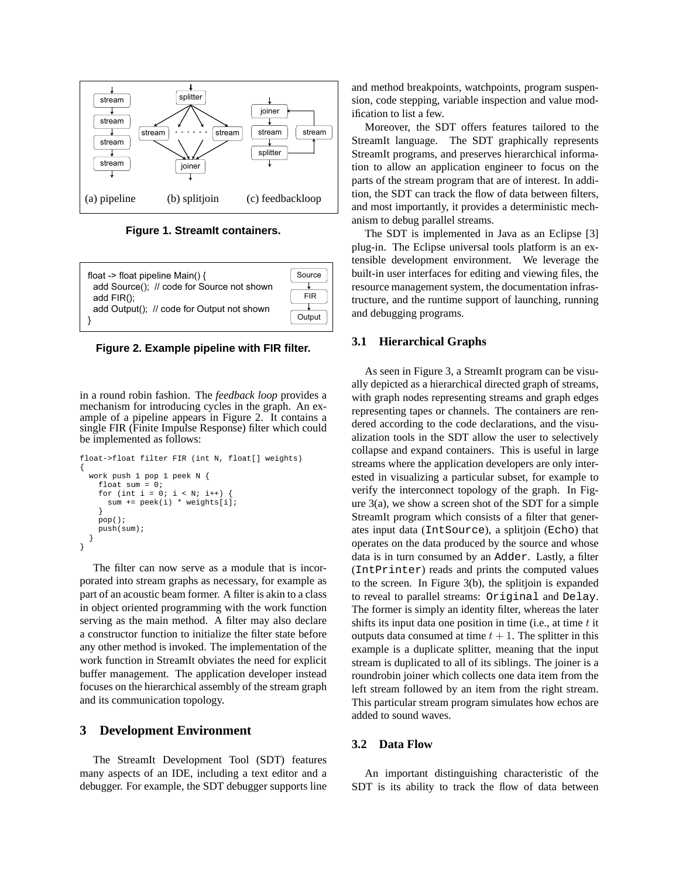

**Figure 1. StreamIt containers.**



**Figure 2. Example pipeline with FIR filter.** 

ample of a pipeline appears in Figure 2. It contains a  $\frac{1}{4}$  for the social depletion and the view oc implemented as follows. mechanism for introducing cycles in the graph. An exsingle FIR (Finite Impulse Response) filter which could be implemented as follows:

```
for (int i = 0; i < N; i++) {<br>The static schedule of \mathbf{V}\mathbf{e}.
represented as graphs where nodes represent computation and edges represent FIFO-ordered communication
work push 1 pop 1 peek N {
   \text{pop}(\cdot) ;
atomically, population a fixed number of items from the filter's input tape and pushing (i.e., \frac{1}{2}float->float filter FIR (int N, float[] weights)
                                                    {
                                                       float sum = 0;
                                                         sum += peek(i) * weights[i];
                                                        }
                                                       pop();
                                                       push(sum);
                                                      }
                                                    }
```
porated the steam graphs as necessary, for example as the screen. In 1<br>part of an acoustic beam former. A filter is akin to a class to reveal to parallel focuses on the hierarchical assembly of the stream graph left stream followed by an item from the right stream. serving as the main method. A filter may also declare compiler to construct a static schedule of filter firings [**?**]. work function in StreamIt obviates the need for explicit porated into stream graphs as necessary, for example as in object oriented programming with the work function a constructor function to initialize the filter state before any other method is invoked. The implementation of the buffer management. The application developer instead and its communication topology.

#### **3** Development Environment  $\mathcal S$  beveraping

many aspects of an IDE, including a text editor and a last all methods and a halo methods) and a halo methods. The StreamIt Development Tool (SDT) features debugger. For example, the SDT debugger supports line

and method breakpoints, watchpoints, program suspension, code stepping, variable inspection and value modification to list a few.

Moreover, the SDT offers features tailored to the StreamIt language. The SDT graphically represents added Figure StreamIt programs, and preserves hierarchical information to allow an application engineer to focus on the examism to debug parallel streams. parts of the stream program that are of interest. In addition, the SDT can track the flow of data between filters, and most importantly, it provides a deterministic mech-

> The SDT is implemented in Java as an Eclipse [3] plug-in. The Eclipse universal tools platform is an extensible development environment. We leverage the built-in user interfaces for editing and viewing files, the resource management system, the documentation infrasand debugging programs.

#### **3.1 Hierarchical Graphs**

As seen in Figure 3, a StreamIt program can be visuin a round robin fashion. The *feedback loop* provides a with graph nodes representing streams and graph edges  $\frac{1}{2}$  implemented as follows: alization tools in the SDT allow the user to selectively bact-stroad firter FIR (filt N, froad), weights, streams where the application developers are only inter- $\sum_{n=1}^{\infty}$  *StreamIt program which consists of a filter that gener-*Figure and are declared across are declared in the filter are produced by the source and whose The filter can now serve as a module that is incor-<br>(Interinter) reads and prints the computed values ject oriented programming with the work function The former is simply an identity filter, whereas the later constructor function to initialize the filter state before outputs data consumed at time  $t + 1$ . The splitter in this vork function in StreamIt obviates the need for explicit stream is duplicated to all of its siblings. The joiner is a nd its communication topology.<br>
This particular stream program simulates how echos are<br>
added to sound ways ally depicted as a hierarchical directed graph of streams, with graph nodes representing streams and graph edges representing tapes or channels. The containers are rendered according to the code declarations, and the visucollapse and expand containers. This is useful in large ested in visualizing a particular subset, for example to verify the interconnect topology of the graph. In Figure  $3(a)$ , we show a screen shot of the SDT for a simple ates input data (IntSource), a splitjoin (Echo) that data is in turn consumed by an Adder. Lastly, a filter (IntPrinter) reads and prints the computed values to the screen. In Figure 3(b), the splitjoin is expanded to reveal to parallel streams: Original and Delay. shifts its input data one position in time (i.e., at time  $t$  it example is a duplicate splitter, meaning that the input roundrobin joiner which collects one data item from the left stream followed by an item from the right stream. added to sound waves.

#### **3.2 Data Flow**

An important distinguishing characteristic of the SDT is its ability to track the flow of data between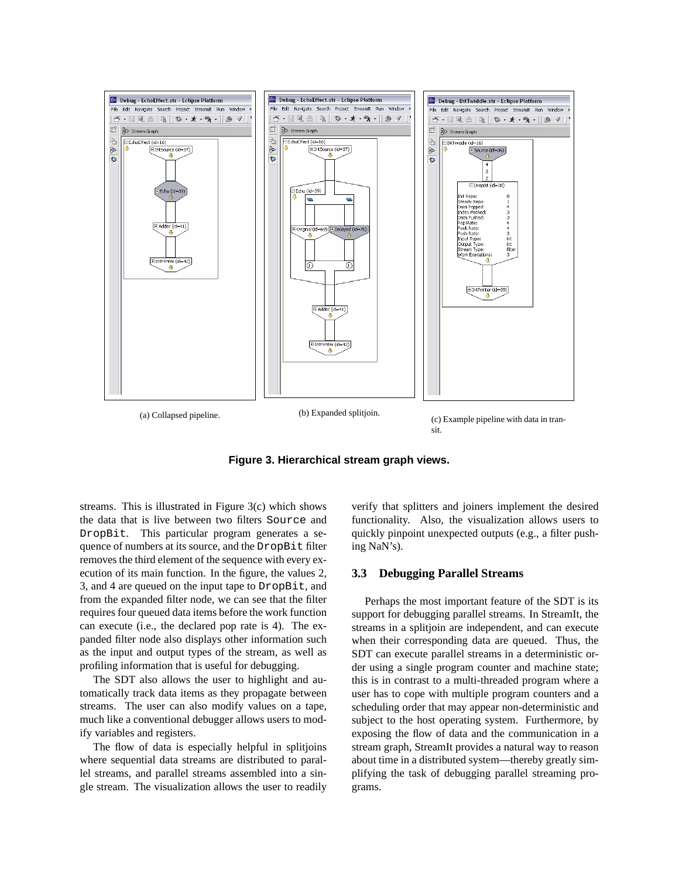

**Figure 3. Hierarchical stream graph views.**

streams. This is illustrated in Figure 3(c) which shows the data that is live between two filters Source and DropBit. This particular program generates a sequence of numbers at its source, and the DropBit filter removes the third element of the sequence with every execution of its main function. In the figure, the values 2, 3, and 4 are queued on the input tape to DropBit, and from the expanded filter node, we can see that the filter requires four queued data items before the work function can execute (i.e., the declared pop rate is 4). The expanded filter node also displays other information such as the input and output types of the stream, as well as profiling information that is useful for debugging.

The SDT also allows the user to highlight and automatically track data items as they propagate between streams. The user can also modify values on a tape, much like a conventional debugger allows users to modify variables and registers.

The flow of data is especially helpful in splitjoins where sequential data streams are distributed to parallel streams, and parallel streams assembled into a single stream. The visualization allows the user to readily

verify that splitters and joiners implement the desired functionality. Also, the visualization allows users to quickly pinpoint unexpected outputs (e.g., a filter pushing NaN's).

### **3.3 Debugging Parallel Streams**

Perhaps the most important feature of the SDT is its support for debugging parallel streams. In StreamIt, the streams in a splitjoin are independent, and can execute when their corresponding data are queued. Thus, the SDT can execute parallel streams in a deterministic order using a single program counter and machine state; this is in contrast to a multi-threaded program where a user has to cope with multiple program counters and a scheduling order that may appear non-deterministic and subject to the host operating system. Furthermore, by exposing the flow of data and the communication in a stream graph, StreamIt provides a natural way to reason about time in a distributed system—thereby greatly simplifying the task of debugging parallel streaming programs.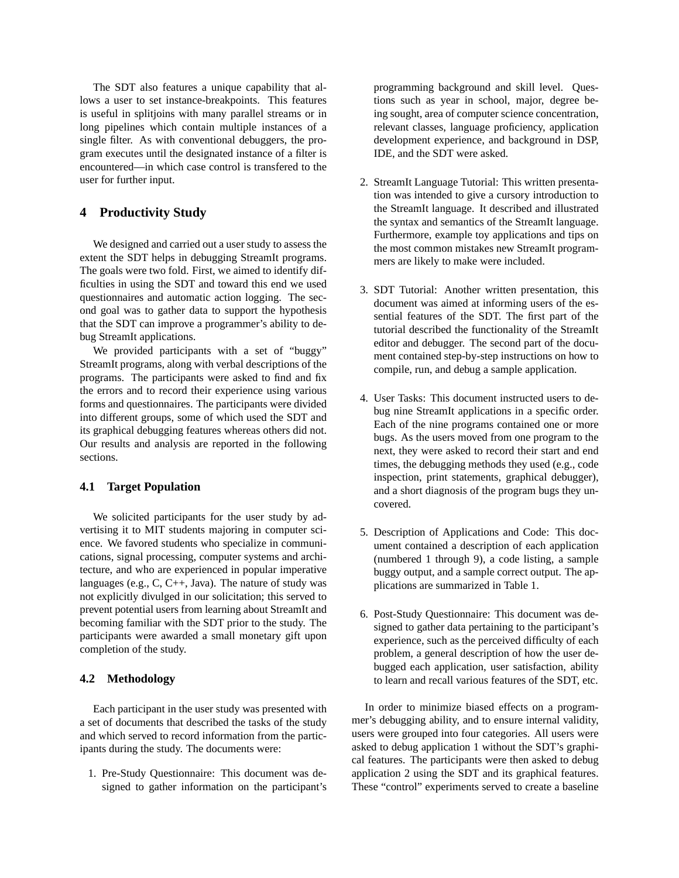The SDT also features a unique capability that allows a user to set instance-breakpoints. This features is useful in splitjoins with many parallel streams or in long pipelines which contain multiple instances of a single filter. As with conventional debuggers, the program executes until the designated instance of a filter is encountered—in which case control is transfered to the user for further input.

# **4 Productivity Study**

We designed and carried out a user study to assess the extent the SDT helps in debugging StreamIt programs. The goals were two fold. First, we aimed to identify difficulties in using the SDT and toward this end we used questionnaires and automatic action logging. The second goal was to gather data to support the hypothesis that the SDT can improve a programmer's ability to debug StreamIt applications.

We provided participants with a set of "buggy" StreamIt programs, along with verbal descriptions of the programs. The participants were asked to find and fix the errors and to record their experience using various forms and questionnaires. The participants were divided into different groups, some of which used the SDT and its graphical debugging features whereas others did not. Our results and analysis are reported in the following sections.

#### **4.1 Target Population**

We solicited participants for the user study by advertising it to MIT students majoring in computer science. We favored students who specialize in communications, signal processing, computer systems and architecture, and who are experienced in popular imperative languages (e.g., C, C++, Java). The nature of study was not explicitly divulged in our solicitation; this served to prevent potential users from learning about StreamIt and becoming familiar with the SDT prior to the study. The participants were awarded a small monetary gift upon completion of the study.

#### **4.2 Methodology**

Each participant in the user study was presented with a set of documents that described the tasks of the study and which served to record information from the participants during the study. The documents were:

1. Pre-Study Questionnaire: This document was designed to gather information on the participant's programming background and skill level. Questions such as year in school, major, degree being sought, area of computer science concentration, relevant classes, language proficiency, application development experience, and background in DSP, IDE, and the SDT were asked.

- 2. StreamIt Language Tutorial: This written presentation was intended to give a cursory introduction to the StreamIt language. It described and illustrated the syntax and semantics of the StreamIt language. Furthermore, example toy applications and tips on the most common mistakes new StreamIt programmers are likely to make were included.
- 3. SDT Tutorial: Another written presentation, this document was aimed at informing users of the essential features of the SDT. The first part of the tutorial described the functionality of the StreamIt editor and debugger. The second part of the document contained step-by-step instructions on how to compile, run, and debug a sample application.
- 4. User Tasks: This document instructed users to debug nine StreamIt applications in a specific order. Each of the nine programs contained one or more bugs. As the users moved from one program to the next, they were asked to record their start and end times, the debugging methods they used (e.g., code inspection, print statements, graphical debugger), and a short diagnosis of the program bugs they uncovered.
- 5. Description of Applications and Code: This document contained a description of each application (numbered 1 through 9), a code listing, a sample buggy output, and a sample correct output. The applications are summarized in Table 1.
- 6. Post-Study Questionnaire: This document was designed to gather data pertaining to the participant's experience, such as the perceived difficulty of each problem, a general description of how the user debugged each application, user satisfaction, ability to learn and recall various features of the SDT, etc.

In order to minimize biased effects on a programmer's debugging ability, and to ensure internal validity, users were grouped into four categories. All users were asked to debug application 1 without the SDT's graphical features. The participants were then asked to debug application 2 using the SDT and its graphical features. These "control" experiments served to create a baseline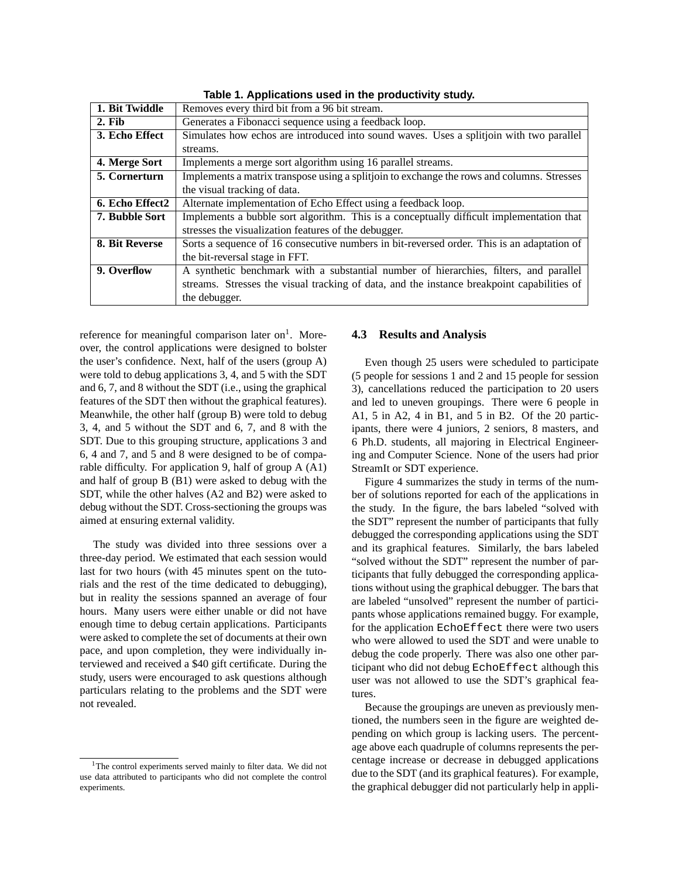| 1. Bit Twiddle        | Removes every third bit from a 96 bit stream.                                              |
|-----------------------|--------------------------------------------------------------------------------------------|
| $2.$ Fib.             | Generates a Fibonacci sequence using a feedback loop.                                      |
| 3. Echo Effect        | Simulates how echos are introduced into sound waves. Uses a splitjoin with two parallel    |
|                       | streams.                                                                                   |
| 4. Merge Sort         | Implements a merge sort algorithm using 16 parallel streams.                               |
| 5. Cornerturn         | Implements a matrix transpose using a splitjoin to exchange the rows and columns. Stresses |
|                       | the visual tracking of data.                                                               |
| 6. Echo Effect2       | Alternate implementation of Echo Effect using a feedback loop.                             |
| <b>7. Bubble Sort</b> | Implements a bubble sort algorithm. This is a conceptually difficult implementation that   |
|                       | stresses the visualization features of the debugger.                                       |
| 8. Bit Reverse        | Sorts a sequence of 16 consecutive numbers in bit-reversed order. This is an adaptation of |
|                       | the bit-reversal stage in FFT.                                                             |
| 9. Overflow           | A synthetic benchmark with a substantial number of hierarchies, filters, and parallel      |
|                       | streams. Stresses the visual tracking of data, and the instance breakpoint capabilities of |
|                       | the debugger.                                                                              |

**Table 1. Applications used in the productivity study.**

reference for meaningful comparison later on<sup>1</sup>. Moreover, the control applications were designed to bolster the user's confidence. Next, half of the users (group A) were told to debug applications 3, 4, and 5 with the SDT and 6, 7, and 8 without the SDT (i.e., using the graphical features of the SDT then without the graphical features). Meanwhile, the other half (group B) were told to debug 3, 4, and 5 without the SDT and 6, 7, and 8 with the SDT. Due to this grouping structure, applications 3 and 6, 4 and 7, and 5 and 8 were designed to be of comparable difficulty. For application 9, half of group A (A1) and half of group B (B1) were asked to debug with the SDT, while the other halves (A2 and B2) were asked to debug without the SDT. Cross-sectioning the groups was aimed at ensuring external validity.

The study was divided into three sessions over a three-day period. We estimated that each session would last for two hours (with 45 minutes spent on the tutorials and the rest of the time dedicated to debugging), but in reality the sessions spanned an average of four hours. Many users were either unable or did not have enough time to debug certain applications. Participants were asked to complete the set of documents at their own pace, and upon completion, they were individually interviewed and received a \$40 gift certificate. During the study, users were encouraged to ask questions although particulars relating to the problems and the SDT were not revealed.

# **4.3 Results and Analysis**

Even though 25 users were scheduled to participate (5 people for sessions 1 and 2 and 15 people for session 3), cancellations reduced the participation to 20 users and led to uneven groupings. There were 6 people in A1, 5 in A2, 4 in B1, and 5 in B2. Of the 20 participants, there were 4 juniors, 2 seniors, 8 masters, and 6 Ph.D. students, all majoring in Electrical Engineering and Computer Science. None of the users had prior StreamIt or SDT experience.

Figure 4 summarizes the study in terms of the number of solutions reported for each of the applications in the study. In the figure, the bars labeled "solved with the SDT" represent the number of participants that fully debugged the corresponding applications using the SDT and its graphical features. Similarly, the bars labeled "solved without the SDT" represent the number of participants that fully debugged the corresponding applications without using the graphical debugger. The bars that are labeled "unsolved" represent the number of participants whose applications remained buggy. For example, for the application EchoEffect there were two users who were allowed to used the SDT and were unable to debug the code properly. There was also one other participant who did not debug EchoEffect although this user was not allowed to use the SDT's graphical features.

Because the groupings are uneven as previously mentioned, the numbers seen in the figure are weighted depending on which group is lacking users. The percentage above each quadruple of columns represents the percentage increase or decrease in debugged applications due to the SDT (and its graphical features). For example, the graphical debugger did not particularly help in appli-

<sup>&</sup>lt;sup>1</sup>The control experiments served mainly to filter data. We did not use data attributed to participants who did not complete the control experiments.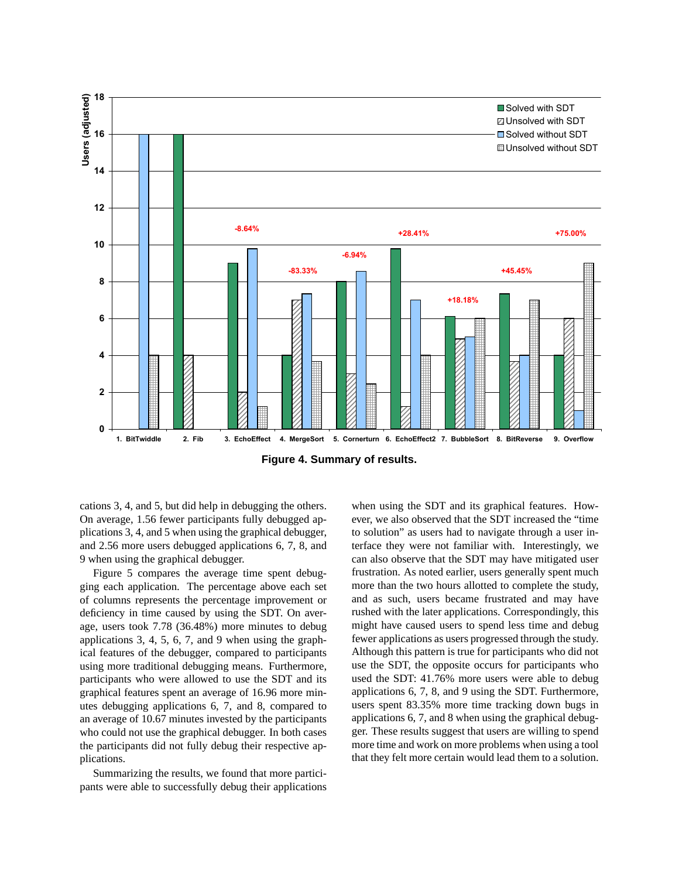

**Figure 4. Summary of results.**

cations 3, 4, and 5, but did help in debugging the others. On average, 1.56 fewer participants fully debugged applications 3, 4, and 5 when using the graphical debugger, and 2.56 more users debugged applications 6, 7, 8, and 9 when using the graphical debugger.

Figure 5 compares the average time spent debugging each application. The percentage above each set of columns represents the percentage improvement or deficiency in time caused by using the SDT. On average, users took 7.78 (36.48%) more minutes to debug applications 3, 4, 5, 6, 7, and 9 when using the graphical features of the debugger, compared to participants using more traditional debugging means. Furthermore, participants who were allowed to use the SDT and its graphical features spent an average of 16.96 more minutes debugging applications 6, 7, and 8, compared to an average of 10.67 minutes invested by the participants who could not use the graphical debugger. In both cases the participants did not fully debug their respective applications.

Summarizing the results, we found that more participants were able to successfully debug their applications

when using the SDT and its graphical features. However, we also observed that the SDT increased the "time to solution" as users had to navigate through a user interface they were not familiar with. Interestingly, we can also observe that the SDT may have mitigated user frustration. As noted earlier, users generally spent much more than the two hours allotted to complete the study, and as such, users became frustrated and may have rushed with the later applications. Correspondingly, this might have caused users to spend less time and debug fewer applications as users progressed through the study. Although this pattern is true for participants who did not use the SDT, the opposite occurs for participants who used the SDT: 41.76% more users were able to debug applications 6, 7, 8, and 9 using the SDT. Furthermore, users spent 83.35% more time tracking down bugs in applications 6, 7, and 8 when using the graphical debugger. These results suggest that users are willing to spend more time and work on more problems when using a tool that they felt more certain would lead them to a solution.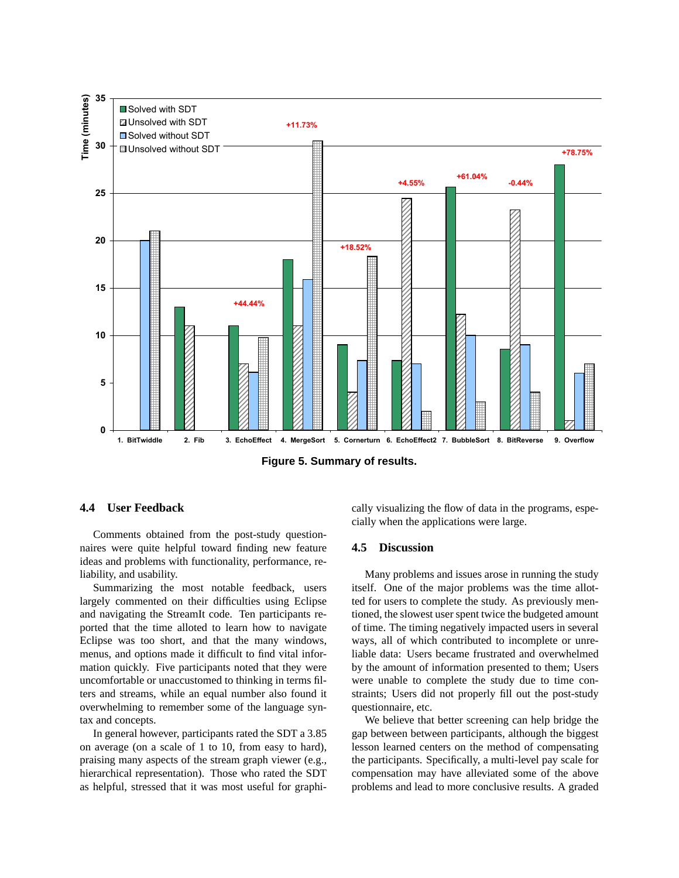

**Figure 5. Summary of results.**

# **4.4 User Feedback**

Comments obtained from the post-study questionnaires were quite helpful toward finding new feature ideas and problems with functionality, performance, reliability, and usability.

Summarizing the most notable feedback, users largely commented on their difficulties using Eclipse and navigating the StreamIt code. Ten participants reported that the time alloted to learn how to navigate Eclipse was too short, and that the many windows, menus, and options made it difficult to find vital information quickly. Five participants noted that they were uncomfortable or unaccustomed to thinking in terms filters and streams, while an equal number also found it overwhelming to remember some of the language syntax and concepts.

In general however, participants rated the SDT a 3.85 on average (on a scale of 1 to 10, from easy to hard), praising many aspects of the stream graph viewer (e.g., hierarchical representation). Those who rated the SDT as helpful, stressed that it was most useful for graphically visualizing the flow of data in the programs, especially when the applications were large.

#### **4.5 Discussion**

Many problems and issues arose in running the study itself. One of the major problems was the time allotted for users to complete the study. As previously mentioned, the slowest user spent twice the budgeted amount of time. The timing negatively impacted users in several ways, all of which contributed to incomplete or unreliable data: Users became frustrated and overwhelmed by the amount of information presented to them; Users were unable to complete the study due to time constraints; Users did not properly fill out the post-study questionnaire, etc.

We believe that better screening can help bridge the gap between between participants, although the biggest lesson learned centers on the method of compensating the participants. Specifically, a multi-level pay scale for compensation may have alleviated some of the above problems and lead to more conclusive results. A graded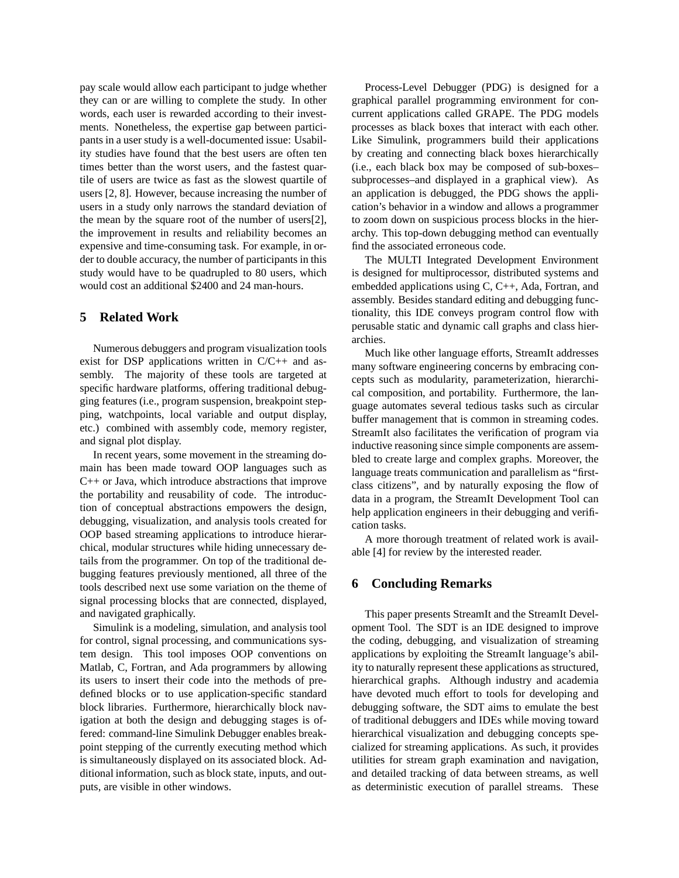pay scale would allow each participant to judge whether they can or are willing to complete the study. In other words, each user is rewarded according to their investments. Nonetheless, the expertise gap between participants in a user study is a well-documented issue: Usability studies have found that the best users are often ten times better than the worst users, and the fastest quartile of users are twice as fast as the slowest quartile of users [2, 8]. However, because increasing the number of users in a study only narrows the standard deviation of the mean by the square root of the number of users[2], the improvement in results and reliability becomes an expensive and time-consuming task. For example, in order to double accuracy, the number of participants in this study would have to be quadrupled to 80 users, which would cost an additional \$2400 and 24 man-hours.

# **5 Related Work**

Numerous debuggers and program visualization tools exist for DSP applications written in C/C++ and assembly. The majority of these tools are targeted at specific hardware platforms, offering traditional debugging features (i.e., program suspension, breakpoint stepping, watchpoints, local variable and output display, etc.) combined with assembly code, memory register, and signal plot display.

In recent years, some movement in the streaming domain has been made toward OOP languages such as C++ or Java, which introduce abstractions that improve the portability and reusability of code. The introduction of conceptual abstractions empowers the design, debugging, visualization, and analysis tools created for OOP based streaming applications to introduce hierarchical, modular structures while hiding unnecessary details from the programmer. On top of the traditional debugging features previously mentioned, all three of the tools described next use some variation on the theme of signal processing blocks that are connected, displayed, and navigated graphically.

Simulink is a modeling, simulation, and analysis tool for control, signal processing, and communications system design. This tool imposes OOP conventions on Matlab, C, Fortran, and Ada programmers by allowing its users to insert their code into the methods of predefined blocks or to use application-specific standard block libraries. Furthermore, hierarchically block navigation at both the design and debugging stages is offered: command-line Simulink Debugger enables breakpoint stepping of the currently executing method which is simultaneously displayed on its associated block. Additional information, such as block state, inputs, and outputs, are visible in other windows.

Process-Level Debugger (PDG) is designed for a graphical parallel programming environment for concurrent applications called GRAPE. The PDG models processes as black boxes that interact with each other. Like Simulink, programmers build their applications by creating and connecting black boxes hierarchically (i.e., each black box may be composed of sub-boxes– subprocesses–and displayed in a graphical view). As an application is debugged, the PDG shows the application's behavior in a window and allows a programmer to zoom down on suspicious process blocks in the hierarchy. This top-down debugging method can eventually find the associated erroneous code.

The MULTI Integrated Development Environment is designed for multiprocessor, distributed systems and embedded applications using C, C++, Ada, Fortran, and assembly. Besides standard editing and debugging functionality, this IDE conveys program control flow with perusable static and dynamic call graphs and class hierarchies.

Much like other language efforts, StreamIt addresses many software engineering concerns by embracing concepts such as modularity, parameterization, hierarchical composition, and portability. Furthermore, the language automates several tedious tasks such as circular buffer management that is common in streaming codes. StreamIt also facilitates the verification of program via inductive reasoning since simple components are assembled to create large and complex graphs. Moreover, the language treats communication and parallelism as "firstclass citizens", and by naturally exposing the flow of data in a program, the StreamIt Development Tool can help application engineers in their debugging and verification tasks.

A more thorough treatment of related work is available [4] for review by the interested reader.

### **6 Concluding Remarks**

This paper presents StreamIt and the StreamIt Development Tool. The SDT is an IDE designed to improve the coding, debugging, and visualization of streaming applications by exploiting the StreamIt language's ability to naturally represent these applications as structured, hierarchical graphs. Although industry and academia have devoted much effort to tools for developing and debugging software, the SDT aims to emulate the best of traditional debuggers and IDEs while moving toward hierarchical visualization and debugging concepts specialized for streaming applications. As such, it provides utilities for stream graph examination and navigation, and detailed tracking of data between streams, as well as deterministic execution of parallel streams. These